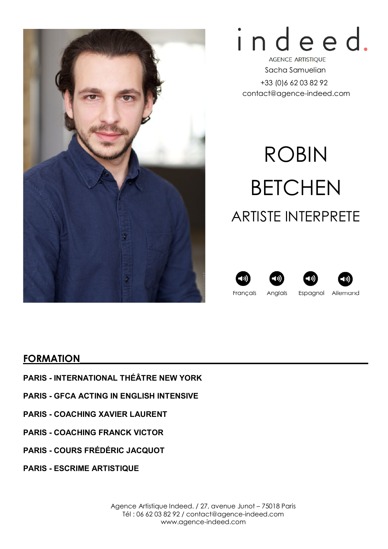

# indeed.

**AGENCE ARTISTIQUE** Sacha Samuelian +33 (0)6 62 03 82 92 contact@agence-indeed.com

# ROBIN BETCHEN ARTISTE INTERPRETE







Français Anglais Espagnol Allemand

#### FORMATION

- PARIS INTERNATIONAL THÉÂTRE NEW YORK
- PARIS GFCA ACTING IN ENGLISH INTENSIVE
- PARIS COACHING XAVIER LAURENT
- PARIS COACHING FRANCK VICTOR
- PARIS COURS FRÉDÉRIC JACQUOT
- PARIS ESCRIME ARTISTIQUE

Agence Artistique Indeed. / 27, avenue Junot – 75018 Paris Tél : 06 62 03 82 92 / contact@agence-indeed.com www.agence-indeed.com